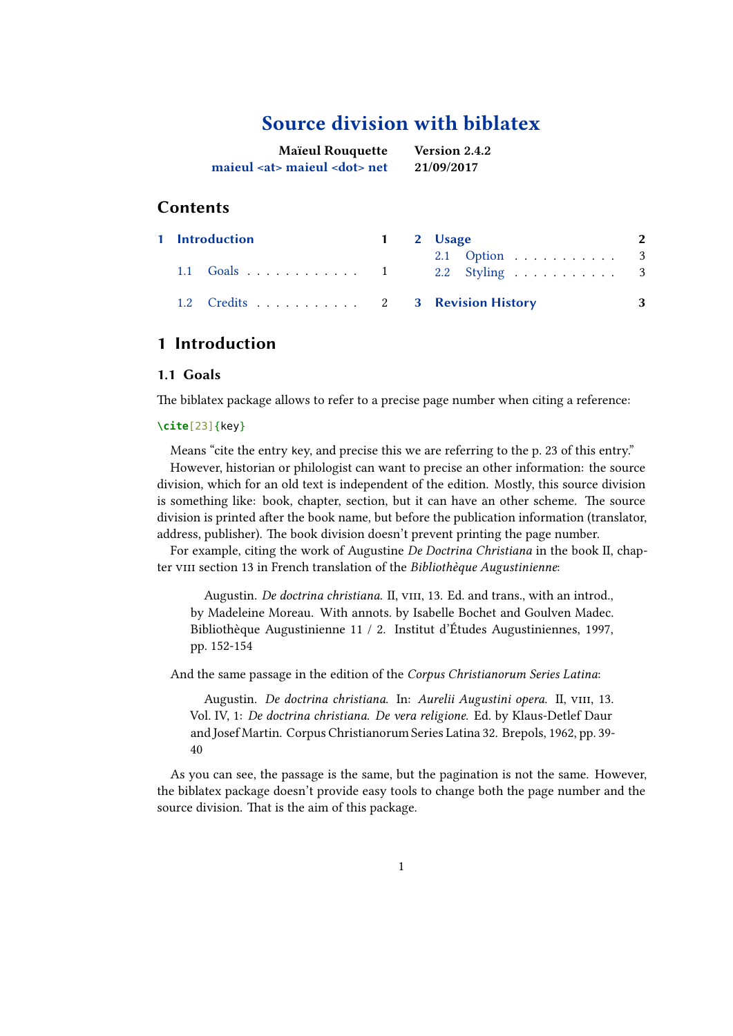# **Source division with biblatex**

| <b>Maïeul Rouquette</b>                 | <b>Version 2.4.2</b> |
|-----------------------------------------|----------------------|
| maieul <at> maieul <dot> net</dot></at> | 21/09/2017           |

## **Contents**

|  | 1 Introduction                                                          |  | 1 2 Usage                     | 2 |
|--|-------------------------------------------------------------------------|--|-------------------------------|---|
|  | $1.1 \quad \text{Goals} \quad \ldots \quad \ldots \quad \ldots \quad 1$ |  | 2.1 Option 3<br>2.2 Styling 3 |   |
|  | 1.2 Credits 2 3 Revision History                                        |  |                               | 3 |

## **1 Introduction**

## **1.1 [Goals](#page-1-0)**

The biblatex package allows to refer to a precise page number when citing a reference:

## **\cite**[23]{key}

Means "cite the entry key, and precise this we are referring to the p. 23 of this entry." However, historian or philologist can want to precise an other information: the source division, which for an old text is independent of the edition. Mostly, this source division is something like: book, chapter, section, but it can have an other scheme. The source division is printed after the book name, but before the publication information (translator, address, publisher). The book division doesn't prevent printing the page number.

For example, citing the work of Augustine *De Doctrina Christiana* in the book II, chapter viii section 13 in French translation of the *Bibliothèque Augustinienne*:

Augustin. *De doctrina christiana*. II, vIII, 13. Ed. and trans., with an introd., by Madeleine Moreau. With annots. by Isabelle Bochet and Goulven Madec. Bibliothèque Augustinienne 11 / 2. Institut d'Études Augustiniennes, 1997, pp. 152-154

And the same passage in the edition of the *Corpus Christianorum Series Latina*:

Augustin. *De doctrina christiana*. In: *Aurelii Augustini opera*. II, viii, 13. Vol. IV, 1: *De doctrina christiana. De vera religione*. Ed. by Klaus-Detlef Daur and Josef Martin. Corpus Christianorum Series Latina 32. Brepols, 1962, pp. 39- 40

As you can see, the passage is the same, but the pagination is not the same. However, the biblatex package doesn't provide easy tools to change both the page number and the source division. That is the aim of this package.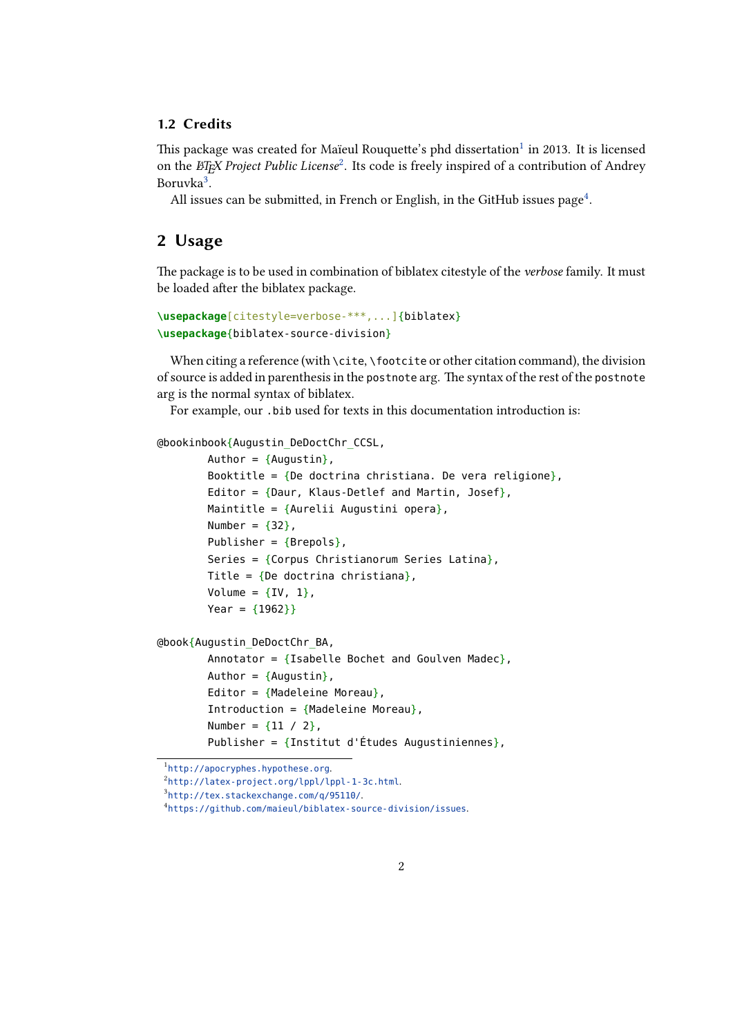### <span id="page-1-0"></span>**1.2 Credits**

This package was created for Maïeul Rouquette's phd dissertation $^1$  in 2013. It is licensed on the *ETEX Project Public License<sup>2</sup>.* Its code is freely inspired of a contribution of Andrey Boruvka<sup>3</sup>.

All issues can be submitted, in French or English, in the GitHub issues page $^4$ .

# **2 Usage**

The package is to be used in combination of biblatex citestyle of the *verbose* family. It must be loaded after the biblatex package.

```
\usepackage[citestyle=verbose-***,...]{biblatex}
\usepackage{biblatex-source-division}
```
When citing a reference (with \cite, \footcite or other citation command), the division of source is added in parenthesis in the postnote arg. The syntax of the rest of the postnote arg is the normal syntax of biblatex.

For example, our .bib used for texts in this documentation introduction is:

@bookinbook{Augustin\_DeDoctChr\_CCSL,

```
Author = \{Augustin\},
        Booktitle = \{De doctrina christiana. De vera religione},
        Editor = \{Daur, Klaus-Detlef and Martin, Josef\},
        Maintitle = \{Aurelii Augustini opera},
        Number = \{32\},
        Publisher = {Brepols},
        Series = {Corpus Christianorum Series Latina},
        Title = {De doctrina christiana},
        Volume = {IV, 1},Year = {1962}}
@book{Augustin_DeDoctChr_BA,
        Annotator = \{Isabelle Bochet and Goulven Madec\},
        Author = \{Augustin\},
        Editor = {Madeleine Moreau},
        Introduction = {Madeleine Moreau},
        Number = {11 / 2},
        Publisher = \{Institut d'Études Augustiniennes},
```
 $^{2}$ http://latex-project.org/lppl/lppl-1-3c.html.

<sup>1</sup> http://apocryphes.hypothese.org.

<sup>3</sup> http://tex.stackexchange.com/q/95110/.

<sup>4</sup> https://github.com/maieul/biblatex-source-division/issues.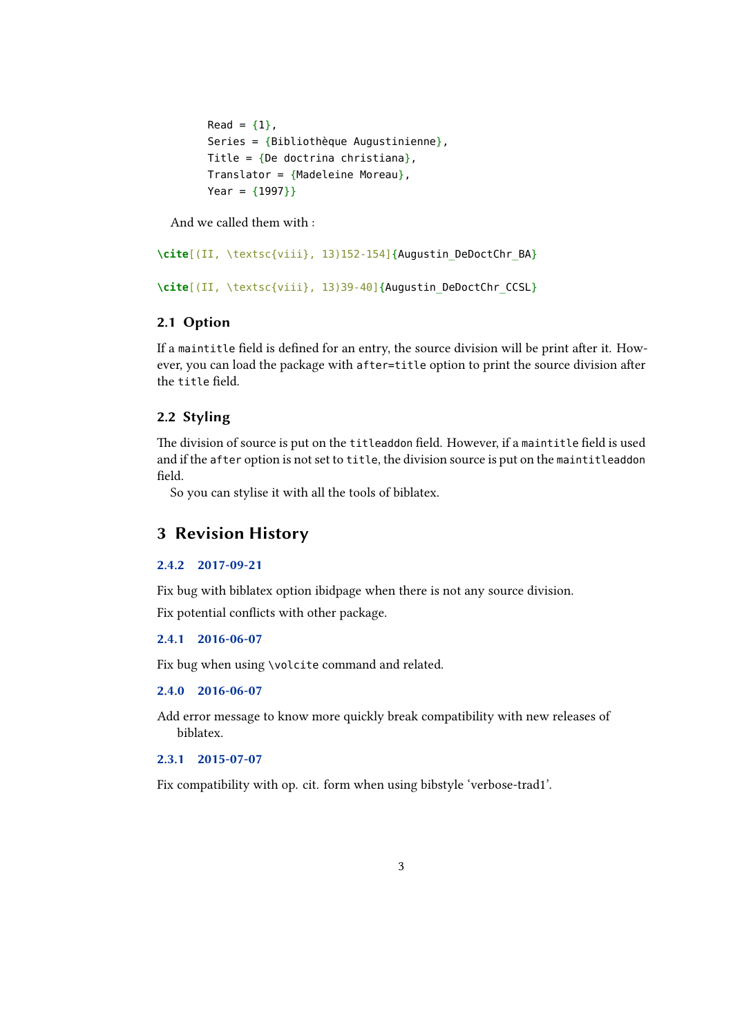```
Read = {1},
Series = {Bibliothèque Augustinienne},
Title = {De doctrina christiana},
Translator = {Madeleine Moreau},
Year = {1997}}
```
And we called them with :

**\cite**[(II, \textsc{viii}, 13)152-154]{Augustin\_DeDoctChr\_BA}

**\cite**[(II, \textsc{viii}, 13)39-40]{Augustin\_DeDoctChr\_CCSL}

## **2.1 Option**

If a maintitle field is defined for an entry, the source division will be print after it. However, you can load the package with after=title option to print the source division after the title field.

## **2.2 Styling**

The division of source is put on the titleaddon field. However, if a maintitle field is used and if the after option is not set to title, the division source is put on the maintitleaddon field.

So you can stylise it with all the tools of biblatex.

## **3 Revision History**

#### **2.4.2 2017-09-21**

Fix bug with biblatex option ibidpage when there is not any source division.

Fix potential conflicts with other package.

#### **2.4.1 2016-06-07**

Fix bug when using \volcite command and related.

### **2.4.0 2016-06-07**

Add error message to know more quickly break compatibility with new releases of biblatex.

#### **2.3.1 2015-07-07**

Fix compatibility with op. cit. form when using bibstyle 'verbose-trad1'.